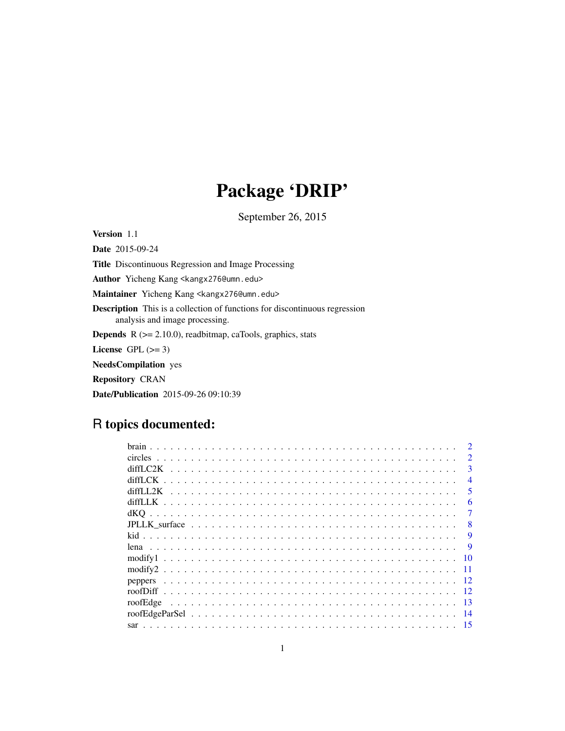# Package 'DRIP'

September 26, 2015

Version 1.1

Date 2015-09-24 Title Discontinuous Regression and Image Processing Author Yicheng Kang <kangx276@umn.edu> Maintainer Yicheng Kang <kangx276@umn.edu> Description This is a collection of functions for discontinuous regression analysis and image processing. **Depends**  $R$  ( $>= 2.10.0$ ), readbitmap, caTools, graphics, stats License GPL  $(>= 3)$ NeedsCompilation yes Repository CRAN

Date/Publication 2015-09-26 09:10:39

# R topics documented:

| <b>brain</b>        |                             |
|---------------------|-----------------------------|
|                     | $\mathcal{D}_{\mathcal{L}}$ |
| diff.C2K            | $\mathbf{3}$                |
|                     | $\overline{4}$              |
| diffLL2K            | 5                           |
| diffLLK.            | 6                           |
|                     | 7                           |
|                     | 8                           |
|                     | 9                           |
| lena                | 9                           |
| -10<br>modify1      |                             |
| modify <sub>2</sub> |                             |
| peppers             |                             |
| -12<br>roofDiff     |                             |
| roofEdge<br>-13     |                             |
| -14                 |                             |
|                     |                             |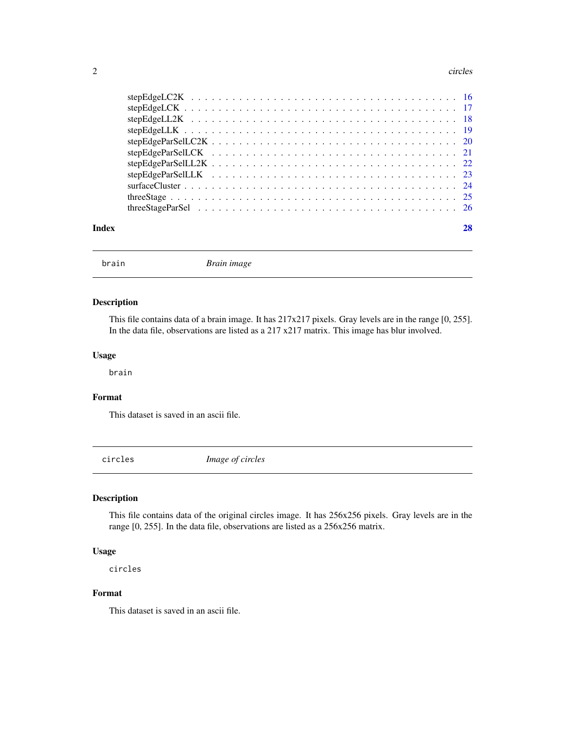#### <span id="page-1-0"></span>2 circles and  $\alpha$  circles and  $\alpha$  circles and  $\alpha$  circles and  $\alpha$  circles and  $\alpha$  circles

| Index |  |
|-------|--|
|       |  |

brain *Brain image*

# Description

This file contains data of a brain image. It has 217x217 pixels. Gray levels are in the range [0, 255]. In the data file, observations are listed as a 217 x217 matrix. This image has blur involved.

# Usage

brain

# Format

This dataset is saved in an ascii file.

circles *Image of circles*

# Description

This file contains data of the original circles image. It has 256x256 pixels. Gray levels are in the range [0, 255]. In the data file, observations are listed as a 256x256 matrix.

# Usage

circles

# Format

This dataset is saved in an ascii file.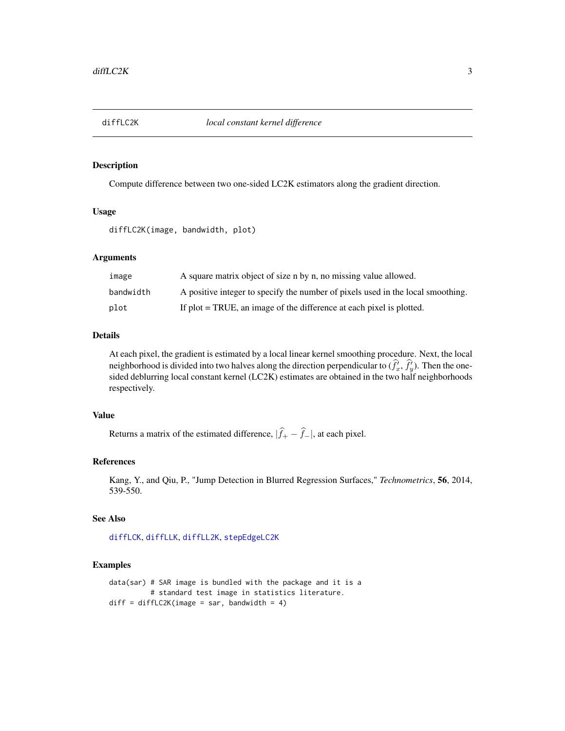<span id="page-2-1"></span><span id="page-2-0"></span>

Compute difference between two one-sided LC2K estimators along the gradient direction.

# Usage

diffLC2K(image, bandwidth, plot)

# Arguments

| image     | A square matrix object of size n by n, no missing value allowed.                |
|-----------|---------------------------------------------------------------------------------|
| bandwidth | A positive integer to specify the number of pixels used in the local smoothing. |
| plot      | If plot = TRUE, an image of the difference at each pixel is plotted.            |

# Details

At each pixel, the gradient is estimated by a local linear kernel smoothing procedure. Next, the local neighborhood is divided into two halves along the direction perpendicular to  $(\hat{f}_x^i, \hat{f}_y^j)$ . Then the onesided deblurring local constant kernel (LC2K) estimates are obtained in the two half neighborhoods respectively.

# Value

Returns a matrix of the estimated difference,  $|\hat{f}_+ - \hat{f}_-|$ , at each pixel.

# References

Kang, Y., and Qiu, P., "Jump Detection in Blurred Regression Surfaces," *Technometrics*, 56, 2014, 539-550.

#### See Also

[diffLCK](#page-3-1), [diffLLK](#page-5-1), [diffLL2K](#page-4-1), [stepEdgeLC2K](#page-15-1)

```
data(sar) # SAR image is bundled with the package and it is a
         # standard test image in statistics literature.
diff = diffLC2K(image = sar, bandwidth = 4)
```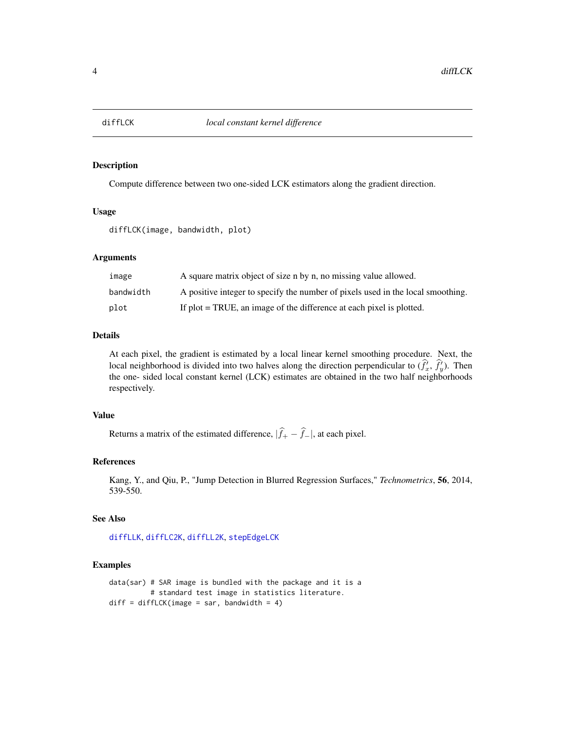<span id="page-3-1"></span><span id="page-3-0"></span>

Compute difference between two one-sided LCK estimators along the gradient direction.

# Usage

diffLCK(image, bandwidth, plot)

# Arguments

| image     | A square matrix object of size n by n, no missing value allowed.                |
|-----------|---------------------------------------------------------------------------------|
| bandwidth | A positive integer to specify the number of pixels used in the local smoothing. |
| plot      | If plot = TRUE, an image of the difference at each pixel is plotted.            |

# Details

At each pixel, the gradient is estimated by a local linear kernel smoothing procedure. Next, the local neighborhood is divided into two halves along the direction perpendicular to  $(\hat{f}_x^i, \hat{f}_y^i)$ . Then the one- sided local constant kernel (LCK) estimates are obtained in the two half neighborhoods respectively.

# Value

Returns a matrix of the estimated difference,  $|\hat{f}_+ - \hat{f}_-|$ , at each pixel.

# References

Kang, Y., and Qiu, P., "Jump Detection in Blurred Regression Surfaces," *Technometrics*, 56, 2014, 539-550.

#### See Also

[diffLLK](#page-5-1), [diffLC2K](#page-2-1), [diffLL2K](#page-4-1), [stepEdgeLCK](#page-16-1)

```
data(sar) # SAR image is bundled with the package and it is a
         # standard test image in statistics literature.
diff = diffLCK(image = sar, bandwidth = 4)
```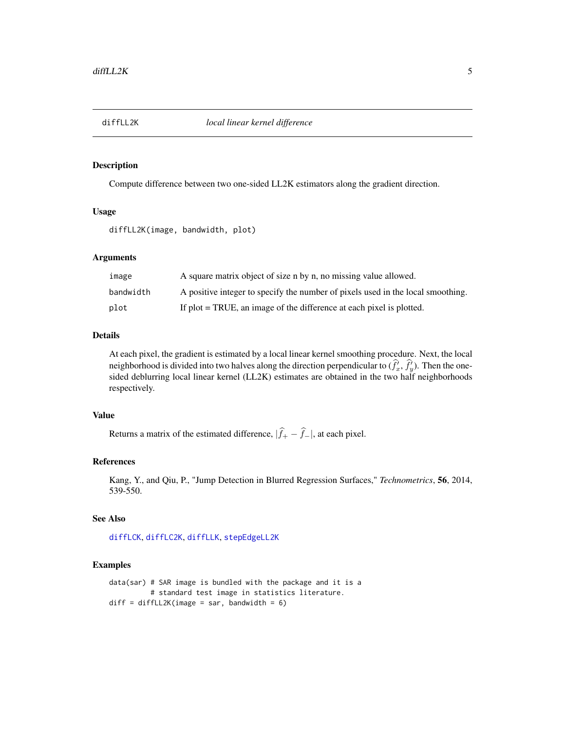<span id="page-4-1"></span><span id="page-4-0"></span>

Compute difference between two one-sided LL2K estimators along the gradient direction.

# Usage

diffLL2K(image, bandwidth, plot)

# Arguments

| image     | A square matrix object of size n by n, no missing value allowed.                |
|-----------|---------------------------------------------------------------------------------|
| bandwidth | A positive integer to specify the number of pixels used in the local smoothing. |
| plot      | If plot = TRUE, an image of the difference at each pixel is plotted.            |

# Details

At each pixel, the gradient is estimated by a local linear kernel smoothing procedure. Next, the local neighborhood is divided into two halves along the direction perpendicular to  $(\hat{f}_x^i, \hat{f}_y^j)$ . Then the onesided deblurring local linear kernel (LL2K) estimates are obtained in the two half neighborhoods respectively.

# Value

Returns a matrix of the estimated difference,  $|\hat{f}_+ - \hat{f}_-|$ , at each pixel.

# References

Kang, Y., and Qiu, P., "Jump Detection in Blurred Regression Surfaces," *Technometrics*, 56, 2014, 539-550.

#### See Also

[diffLCK](#page-3-1), [diffLC2K](#page-2-1), [diffLLK](#page-5-1), [stepEdgeLL2K](#page-17-1)

```
data(sar) # SAR image is bundled with the package and it is a
         # standard test image in statistics literature.
diff = diffLL2K(image = sar, bandwidth = 6)
```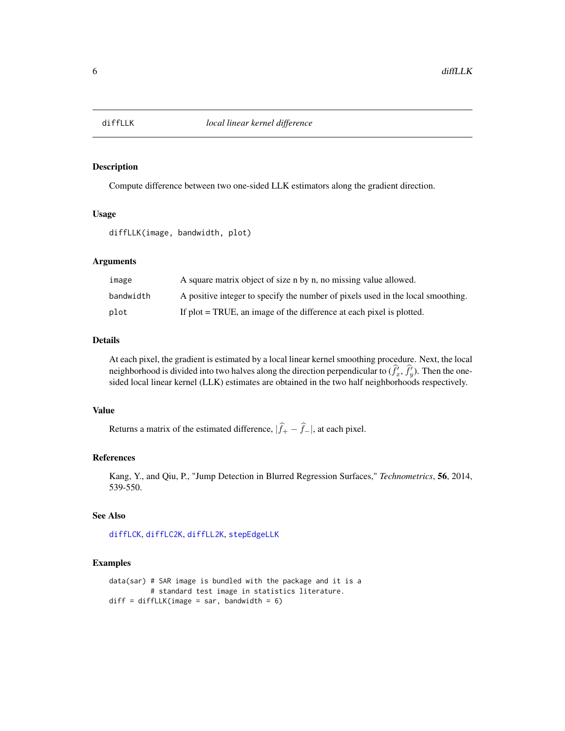<span id="page-5-1"></span><span id="page-5-0"></span>

Compute difference between two one-sided LLK estimators along the gradient direction.

#### Usage

```
diffLLK(image, bandwidth, plot)
```
#### Arguments

| image     | A square matrix object of size n by n, no missing value allowed.                |
|-----------|---------------------------------------------------------------------------------|
| bandwidth | A positive integer to specify the number of pixels used in the local smoothing. |
| plot      | If plot = TRUE, an image of the difference at each pixel is plotted.            |

# Details

At each pixel, the gradient is estimated by a local linear kernel smoothing procedure. Next, the local neighborhood is divided into two halves along the direction perpendicular to  $(\hat{f}_x^i, \hat{f}_y^j)$ . Then the onesided local linear kernel (LLK) estimates are obtained in the two half neighborhoods respectively.

# Value

Returns a matrix of the estimated difference,  $|\hat{f}_+ - \hat{f}_-|$ , at each pixel.

#### References

Kang, Y., and Qiu, P., "Jump Detection in Blurred Regression Surfaces," *Technometrics*, 56, 2014, 539-550.

# See Also

[diffLCK](#page-3-1), [diffLC2K](#page-2-1), [diffLL2K](#page-4-1), [stepEdgeLLK](#page-18-1)

```
data(sar) # SAR image is bundled with the package and it is a
         # standard test image in statistics literature.
diff = diffLLK(image = sar, bandwidth = 6)
```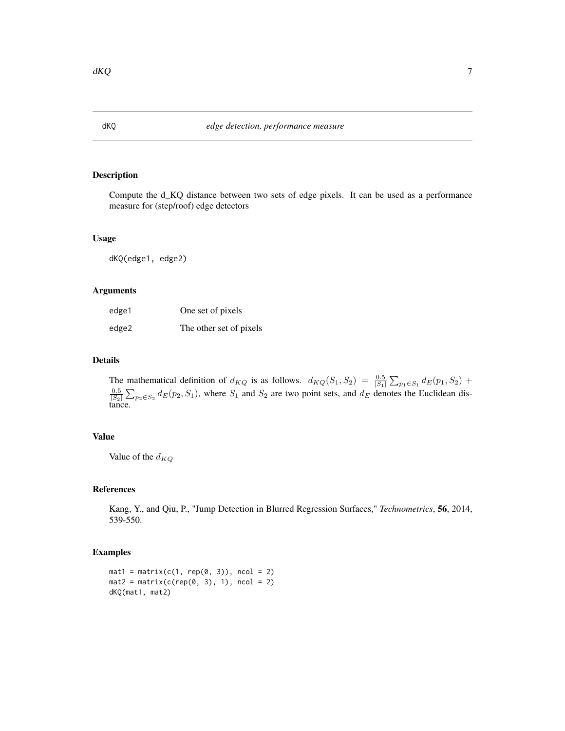Compute the d\_KQ distance between two sets of edge pixels. It can be used as a performance measure for (step/roof) edge detectors

#### Usage

dKQ(edge1, edge2)

# Arguments

| edge1 | One set of pixels       |
|-------|-------------------------|
| edge2 | The other set of pixels |

# Details

The mathematical definition of  $d_{KQ}$  is as follows.  $d_{KQ}(S_1, S_2) = \frac{0.5}{|S_1|} \sum_{p_1 \in S_1} d_E(p_1, S_2)$  +  $\frac{0.5}{|S_2|}$   $\sum_{p_2 \in S_2}$   $d_E(p_2, S_1)$ , where  $S_1$  and  $S_2$  are two point sets, and  $d_E$  denotes the Euclidean distance.

# Value

Value of the  $d_{KO}$ 

#### References

Kang, Y., and Qiu, P., "Jump Detection in Blurred Regression Surfaces," *Technometrics*, 56, 2014, 539-550.

```
mat1 = matrix(c(1, rep(0, 3)), ncol = 2)mat2 = matrix(c(rep(0, 3), 1), ncol = 2)dKQ(mat1, mat2)
```
<span id="page-6-0"></span>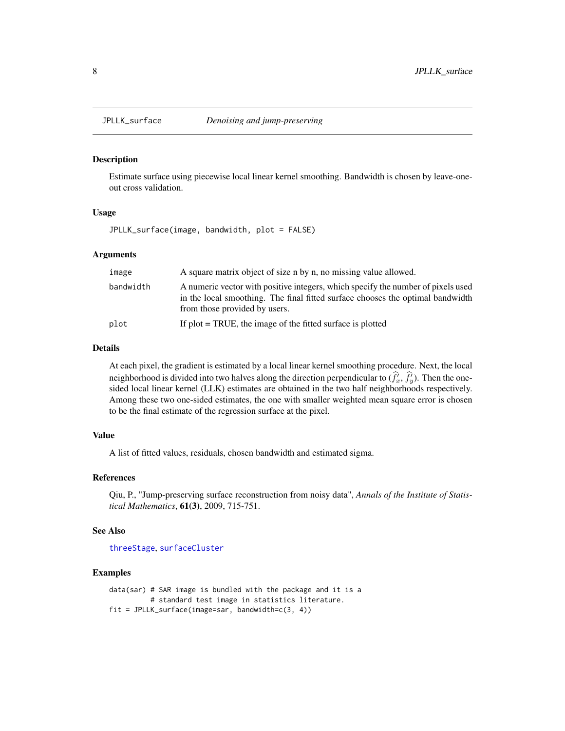<span id="page-7-1"></span><span id="page-7-0"></span>

Estimate surface using piecewise local linear kernel smoothing. Bandwidth is chosen by leave-oneout cross validation.

# Usage

JPLLK\_surface(image, bandwidth, plot = FALSE)

#### Arguments

| image     | A square matrix object of size n by n, no missing value allowed.                                                                                                                                    |
|-----------|-----------------------------------------------------------------------------------------------------------------------------------------------------------------------------------------------------|
| bandwidth | A numeric vector with positive integers, which specify the number of pixels used<br>in the local smoothing. The final fitted surface chooses the optimal bandwidth<br>from those provided by users. |
| plot      | If $plot = TRUE$ , the image of the fitted surface is plotted                                                                                                                                       |

#### Details

At each pixel, the gradient is estimated by a local linear kernel smoothing procedure. Next, the local neighborhood is divided into two halves along the direction perpendicular to  $(\hat{f}_x^i, \hat{f}_y^j)$ . Then the onesided local linear kernel (LLK) estimates are obtained in the two half neighborhoods respectively. Among these two one-sided estimates, the one with smaller weighted mean square error is chosen to be the final estimate of the regression surface at the pixel.

#### Value

A list of fitted values, residuals, chosen bandwidth and estimated sigma.

# References

Qiu, P., "Jump-preserving surface reconstruction from noisy data", *Annals of the Institute of Statistical Mathematics*, 61(3), 2009, 715-751.

#### See Also

[threeStage](#page-24-1), [surfaceCluster](#page-23-1)

# Examples

data(sar) # SAR image is bundled with the package and it is a # standard test image in statistics literature. fit = JPLLK\_surface(image=sar, bandwidth=c(3, 4))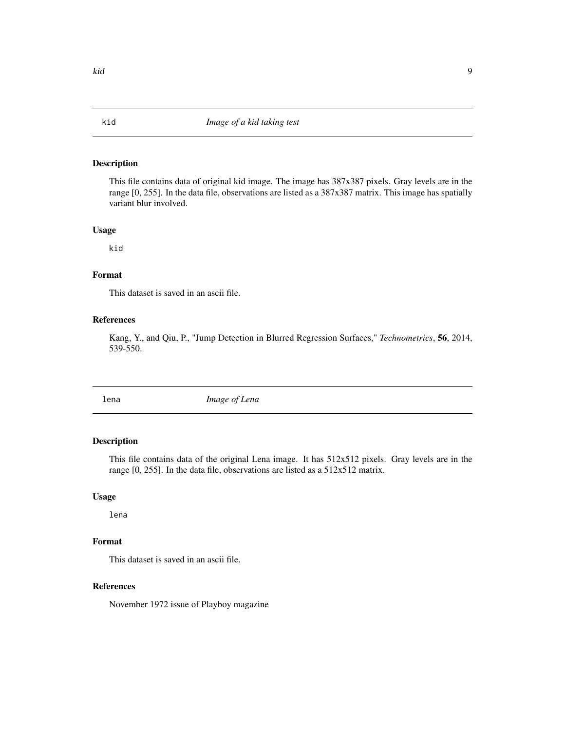<span id="page-8-0"></span>This file contains data of original kid image. The image has 387x387 pixels. Gray levels are in the range [0, 255]. In the data file, observations are listed as a 387x387 matrix. This image has spatially variant blur involved.

#### Usage

kid

# Format

This dataset is saved in an ascii file.

# References

Kang, Y., and Qiu, P., "Jump Detection in Blurred Regression Surfaces," *Technometrics*, 56, 2014, 539-550.

lena *Image of Lena*

# Description

This file contains data of the original Lena image. It has 512x512 pixels. Gray levels are in the range [0, 255]. In the data file, observations are listed as a 512x512 matrix.

# Usage

lena

# Format

This dataset is saved in an ascii file.

# References

November 1972 issue of Playboy magazine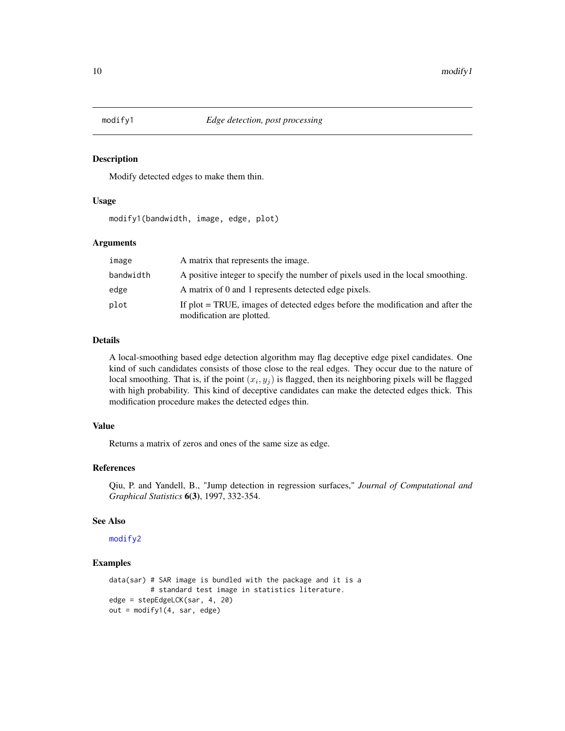<span id="page-9-1"></span><span id="page-9-0"></span>

Modify detected edges to make them thin.

#### Usage

modify1(bandwidth, image, edge, plot)

# Arguments

| image     | A matrix that represents the image.                                                                         |
|-----------|-------------------------------------------------------------------------------------------------------------|
| bandwidth | A positive integer to specify the number of pixels used in the local smoothing.                             |
| edge      | A matrix of 0 and 1 represents detected edge pixels.                                                        |
| plot      | If plot = TRUE, images of detected edges before the modification and after the<br>modification are plotted. |

# Details

A local-smoothing based edge detection algorithm may flag deceptive edge pixel candidates. One kind of such candidates consists of those close to the real edges. They occur due to the nature of local smoothing. That is, if the point  $(x_i, y_j)$  is flagged, then its neighboring pixels will be flagged with high probability. This kind of deceptive candidates can make the detected edges thick. This modification procedure makes the detected edges thin.

# Value

Returns a matrix of zeros and ones of the same size as edge.

# References

Qiu, P. and Yandell, B., "Jump detection in regression surfaces," *Journal of Computational and Graphical Statistics* 6(3), 1997, 332-354.

#### See Also

[modify2](#page-10-1)

```
data(sar) # SAR image is bundled with the package and it is a
         # standard test image in statistics literature.
edge = stepEdgeLCK(sar, 4, 20)
out = modify1(4, sar, edge)
```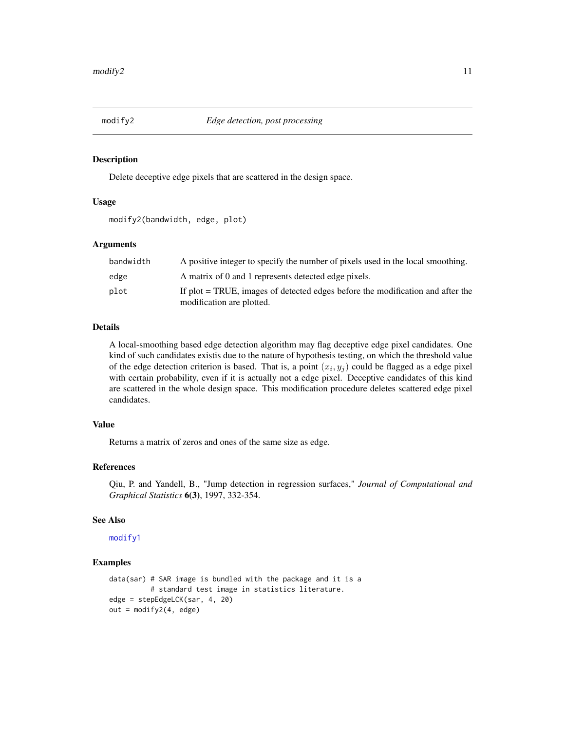<span id="page-10-1"></span><span id="page-10-0"></span>

Delete deceptive edge pixels that are scattered in the design space.

# Usage

```
modify2(bandwidth, edge, plot)
```
# Arguments

| bandwidth | A positive integer to specify the number of pixels used in the local smoothing.                             |
|-----------|-------------------------------------------------------------------------------------------------------------|
| edge      | A matrix of 0 and 1 represents detected edge pixels.                                                        |
| plot      | If plot = TRUE, images of detected edges before the modification and after the<br>modification are plotted. |

# Details

A local-smoothing based edge detection algorithm may flag deceptive edge pixel candidates. One kind of such candidates existis due to the nature of hypothesis testing, on which the threshold value of the edge detection criterion is based. That is, a point  $(x_i, y_j)$  could be flagged as a edge pixel with certain probability, even if it is actually not a edge pixel. Deceptive candidates of this kind are scattered in the whole design space. This modification procedure deletes scattered edge pixel candidates.

# Value

Returns a matrix of zeros and ones of the same size as edge.

#### References

Qiu, P. and Yandell, B., "Jump detection in regression surfaces," *Journal of Computational and Graphical Statistics* 6(3), 1997, 332-354.

#### See Also

[modify1](#page-9-1)

```
data(sar) # SAR image is bundled with the package and it is a
         # standard test image in statistics literature.
edge = stepEdgeLCK(sar, 4, 20)
out = modify2(4, edge)
```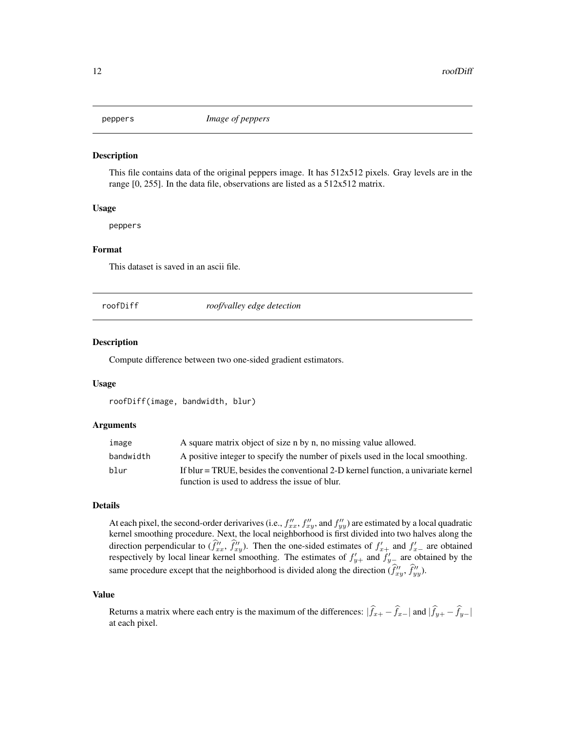<span id="page-11-0"></span>

This file contains data of the original peppers image. It has 512x512 pixels. Gray levels are in the range [0, 255]. In the data file, observations are listed as a 512x512 matrix.

#### Usage

peppers

# Format

This dataset is saved in an ascii file.

<span id="page-11-1"></span>

roofDiff *roof/valley edge detection*

#### Description

Compute difference between two one-sided gradient estimators.

#### Usage

```
roofDiff(image, bandwidth, blur)
```
#### Arguments

| image     | A square matrix object of size n by n, no missing value allowed.                  |
|-----------|-----------------------------------------------------------------------------------|
| bandwidth | A positive integer to specify the number of pixels used in the local smoothing.   |
| blur      | If blur = TRUE, besides the conventional 2-D kernel function, a univariate kernel |
|           | function is used to address the issue of blur.                                    |

#### Details

At each pixel, the second-order derivarives (i.e.,  $f''_{xx}$ ,  $f''_{xy}$ , and  $f''_{yy}$ ) are estimated by a local quadratic kernel smoothing procedure. Next, the local neighborhood is first divided into two halves along the direction perpendicular to  $(\hat{f}''_{xx}, \hat{f}''_{xy})$ . Then the one-sided estimates of  $f'_{x+}$  and  $f'_{x-}$  are obtained respectively by local linear kernel smoothing. The estimates of  $f'_{y+}$  and  $f'_{y-}$  are obtained by the same procedure except that the neighborhood is divided along the direction  $(\hat{f}''_{xy}, \hat{f}''_{yy})$ .

#### Value

Returns a matrix where each entry is the maximum of the differences:  $|\hat{f}_{x+} - \hat{f}_{x-}|$  and  $|\hat{f}_{y+} - \hat{f}_{y-}|$ at each pixel.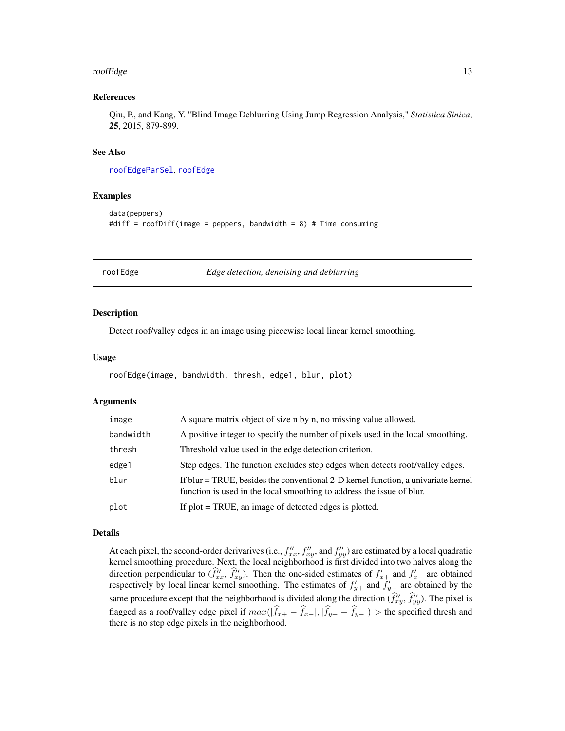#### <span id="page-12-0"></span>roofEdge 13

#### References

Qiu, P., and Kang, Y. "Blind Image Deblurring Using Jump Regression Analysis," *Statistica Sinica*, 25, 2015, 879-899.

# See Also

[roofEdgeParSel](#page-13-1), [roofEdge](#page-12-1)

#### Examples

```
data(peppers)
#diff = roofDiff(image = peppers, bandwidth = 8) # Time consuming
```
<span id="page-12-1"></span>roofEdge *Edge detection, denoising and deblurring*

#### Description

Detect roof/valley edges in an image using piecewise local linear kernel smoothing.

#### Usage

```
roofEdge(image, bandwidth, thresh, edge1, blur, plot)
```
#### Arguments

| image     | A square matrix object of size n by n, no missing value allowed.                                                                                           |
|-----------|------------------------------------------------------------------------------------------------------------------------------------------------------------|
| bandwidth | A positive integer to specify the number of pixels used in the local smoothing.                                                                            |
| thresh    | Threshold value used in the edge detection criterion.                                                                                                      |
| edge1     | Step edges. The function excludes step edges when detects roof/valley edges.                                                                               |
| blur      | If blur = TRUE, besides the conventional 2-D kernel function, a univariate kernel<br>function is used in the local smoothing to address the issue of blur. |
| plot      | If plot = TRUE, an image of detected edges is plotted.                                                                                                     |

# Details

At each pixel, the second-order derivarives (i.e.,  $f''_{xx}$ ,  $f''_{xy}$ , and  $f''_{yy}$ ) are estimated by a local quadratic kernel smoothing procedure. Next, the local neighborhood is first divided into two halves along the direction perpendicular to  $(\hat{f}''_{xx}, \hat{f}''_{xy})$ . Then the one-sided estimates of  $f'_{x+}$  and  $f'_{x-}$  are obtained respectively by local linear kernel smoothing. The estimates of  $f'_{y+}$  and  $f'_{y-}$  are obtained by the same procedure except that the neighborhood is divided along the direction  $(\hat{f}''_{xy}, \hat{f}''_{yy})$ . The pixel is flagged as a roof/valley edge pixel if  $max(|\hat{f}_{x+} - \hat{f}_{x-}|, |\hat{f}_{y+} - \hat{f}_{y-}|) >$  the specified thresh and there is no step edge pixels in the neighborhood.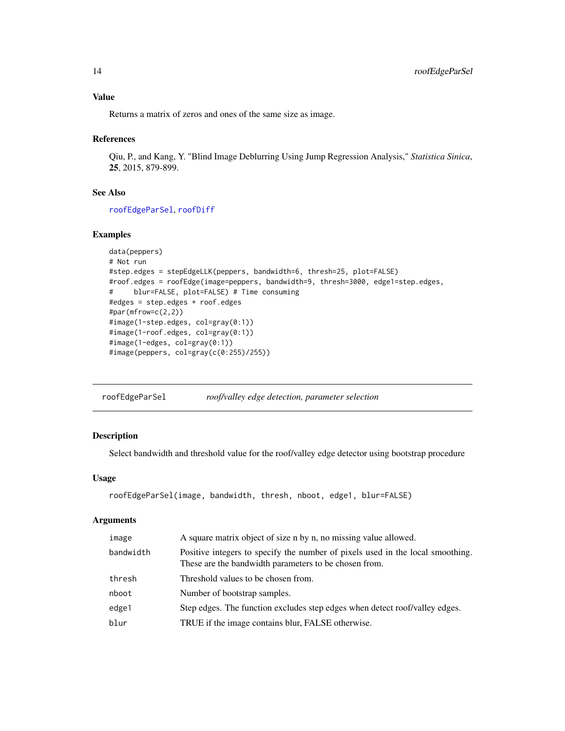# <span id="page-13-0"></span>Value

Returns a matrix of zeros and ones of the same size as image.

#### References

Qiu, P., and Kang, Y. "Blind Image Deblurring Using Jump Regression Analysis," *Statistica Sinica*, 25, 2015, 879-899.

# See Also

[roofEdgeParSel](#page-13-1), [roofDiff](#page-11-1)

# Examples

```
data(peppers)
# Not run
#step.edges = stepEdgeLLK(peppers, bandwidth=6, thresh=25, plot=FALSE)
#roof.edges = roofEdge(image=peppers, bandwidth=9, thresh=3000, edge1=step.edges,
# blur=FALSE, plot=FALSE) # Time consuming
#edges = step.edges + roof.edges
#par(mfrow=c(2,2))
#image(1-step.edges, col=gray(0:1))
#image(1-roof.edges, col=gray(0:1))
#image(1-edges, col=gray(0:1))
#image(peppers, col=gray(c(0:255)/255))
```
<span id="page-13-1"></span>roofEdgeParSel *roof/valley edge detection, parameter selection*

# Description

Select bandwidth and threshold value for the roof/valley edge detector using bootstrap procedure

# Usage

```
roofEdgeParSel(image, bandwidth, thresh, nboot, edge1, blur=FALSE)
```
#### Arguments

| image     | A square matrix object of size n by n, no missing value allowed.                                                                        |
|-----------|-----------------------------------------------------------------------------------------------------------------------------------------|
| bandwidth | Positive integers to specify the number of pixels used in the local smoothing.<br>These are the bandwidth parameters to be chosen from. |
| thresh    | Threshold values to be chosen from.                                                                                                     |
| nboot     | Number of bootstrap samples.                                                                                                            |
| edge1     | Step edges. The function excludes step edges when detect roof/valley edges.                                                             |
| blur      | TRUE if the image contains blur, FALSE otherwise.                                                                                       |
|           |                                                                                                                                         |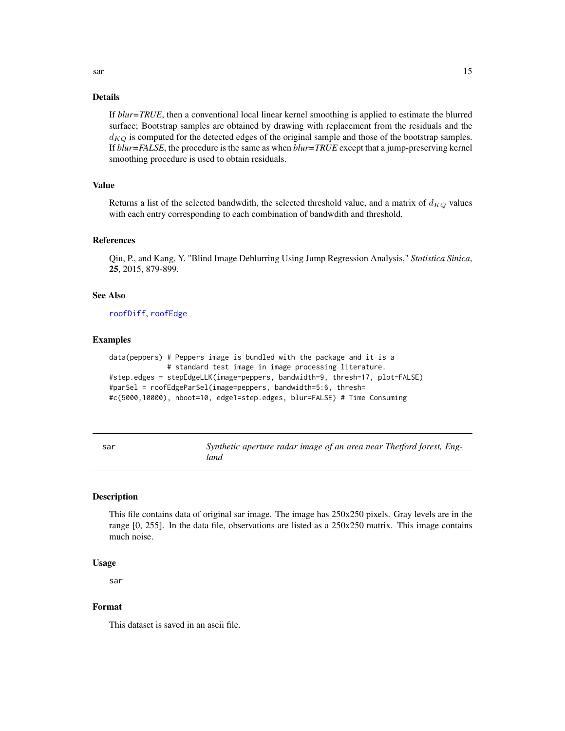# <span id="page-14-0"></span>Details

If *blur=TRUE*, then a conventional local linear kernel smoothing is applied to estimate the blurred surface; Bootstrap samples are obtained by drawing with replacement from the residuals and the  $d_{KQ}$  is computed for the detected edges of the original sample and those of the bootstrap samples. If *blur=FALSE*, the procedure is the same as when *blur=TRUE* except that a jump-preserving kernel smoothing procedure is used to obtain residuals.

# Value

Returns a list of the selected bandwdith, the selected threshold value, and a matrix of  $d_{KQ}$  values with each entry corresponding to each combination of bandwdith and threshold.

#### References

Qiu, P., and Kang, Y. "Blind Image Deblurring Using Jump Regression Analysis," *Statistica Sinica*, 25, 2015, 879-899.

# See Also

[roofDiff](#page-11-1), [roofEdge](#page-12-1)

# Examples

```
data(peppers) # Peppers image is bundled with the package and it is a
              # standard test image in image processing literature.
#step.edges = stepEdgeLLK(image=peppers, bandwidth=9, thresh=17, plot=FALSE)
#parSel = roofEdgeParSel(image=peppers, bandwidth=5:6, thresh=
#c(5000,10000), nboot=10, edge1=step.edges, blur=FALSE) # Time Consuming
```

| ٠<br>×<br>w<br>___ |
|--------------------|
|--------------------|

Synthetic aperture radar image of an area near Thetford forest, Eng*land*

# Description

This file contains data of original sar image. The image has 250x250 pixels. Gray levels are in the range [0, 255]. In the data file, observations are listed as a 250x250 matrix. This image contains much noise.

#### Usage

sar

# Format

This dataset is saved in an ascii file.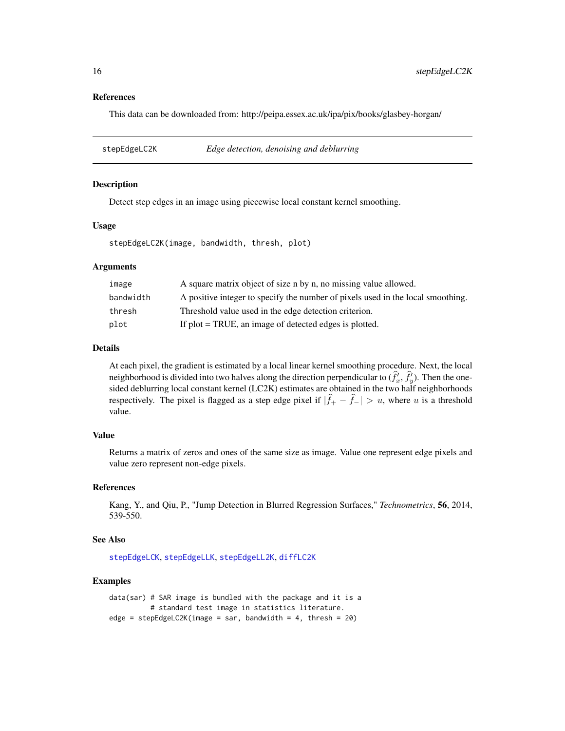#### References

This data can be downloaded from: http://peipa.essex.ac.uk/ipa/pix/books/glasbey-horgan/

<span id="page-15-1"></span>stepEdgeLC2K *Edge detection, denoising and deblurring*

#### **Description**

Detect step edges in an image using piecewise local constant kernel smoothing.

#### Usage

stepEdgeLC2K(image, bandwidth, thresh, plot)

#### Arguments

| image     | A square matrix object of size n by n, no missing value allowed.                |
|-----------|---------------------------------------------------------------------------------|
| bandwidth | A positive integer to specify the number of pixels used in the local smoothing. |
| thresh    | Threshold value used in the edge detection criterion.                           |
| plot      | If plot = TRUE, an image of detected edges is plotted.                          |

#### Details

At each pixel, the gradient is estimated by a local linear kernel smoothing procedure. Next, the local neighborhood is divided into two halves along the direction perpendicular to  $(\hat{f}_x^i, \hat{f}_y^i)$ . Then the onesided deblurring local constant kernel (LC2K) estimates are obtained in the two half neighborhoods respectively. The pixel is flagged as a step edge pixel if  $|\hat{f}_+ - \hat{f}_-| > u$ , where u is a threshold value.

#### Value

Returns a matrix of zeros and ones of the same size as image. Value one represent edge pixels and value zero represent non-edge pixels.

# References

Kang, Y., and Qiu, P., "Jump Detection in Blurred Regression Surfaces," *Technometrics*, 56, 2014, 539-550.

#### See Also

[stepEdgeLCK](#page-16-1), [stepEdgeLLK](#page-18-1), [stepEdgeLL2K](#page-17-1), [diffLC2K](#page-2-1)

```
data(sar) # SAR image is bundled with the package and it is a
          # standard test image in statistics literature.
edge = stepEdgeLC2K(image = sar, bandwidth = 4, thresh = 20)
```
<span id="page-15-0"></span>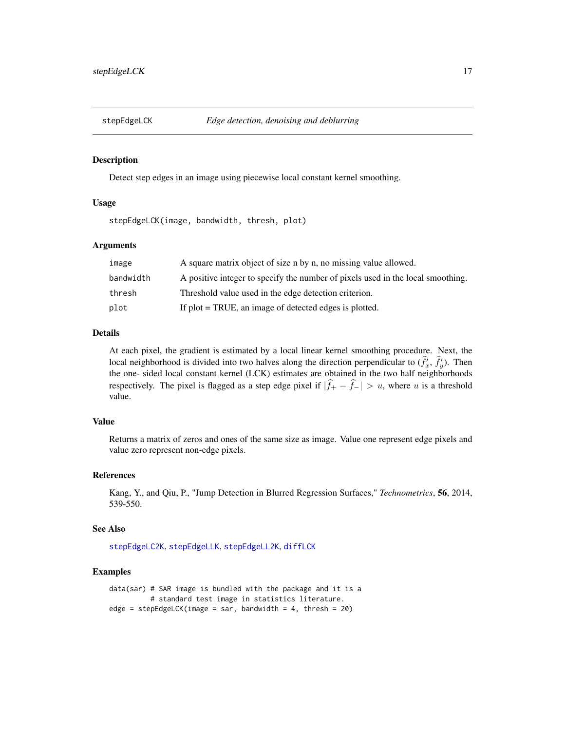<span id="page-16-1"></span><span id="page-16-0"></span>

Detect step edges in an image using piecewise local constant kernel smoothing.

# Usage

stepEdgeLCK(image, bandwidth, thresh, plot)

#### Arguments

| image     | A square matrix object of size n by n, no missing value allowed.                |
|-----------|---------------------------------------------------------------------------------|
| bandwidth | A positive integer to specify the number of pixels used in the local smoothing. |
| thresh    | Threshold value used in the edge detection criterion.                           |
| plot      | If plot = TRUE, an image of detected edges is plotted.                          |

#### Details

At each pixel, the gradient is estimated by a local linear kernel smoothing procedure. Next, the local neighborhood is divided into two halves along the direction perpendicular to  $(\hat{f}_x^i, \hat{f}_y^i)$ . Then the one- sided local constant kernel (LCK) estimates are obtained in the two half neighborhoods respectively. The pixel is flagged as a step edge pixel if  $|\hat{f}_+ - \hat{f}_-| > u$ , where u is a threshold value.

# Value

Returns a matrix of zeros and ones of the same size as image. Value one represent edge pixels and value zero represent non-edge pixels.

#### References

Kang, Y., and Qiu, P., "Jump Detection in Blurred Regression Surfaces," *Technometrics*, 56, 2014, 539-550.

# See Also

[stepEdgeLC2K](#page-15-1), [stepEdgeLLK](#page-18-1), [stepEdgeLL2K](#page-17-1), [diffLCK](#page-3-1)

```
data(sar) # SAR image is bundled with the package and it is a
          # standard test image in statistics literature.
edge = stepEdgeLCK(image = sar, bandwidth = 4, thresh = 20)
```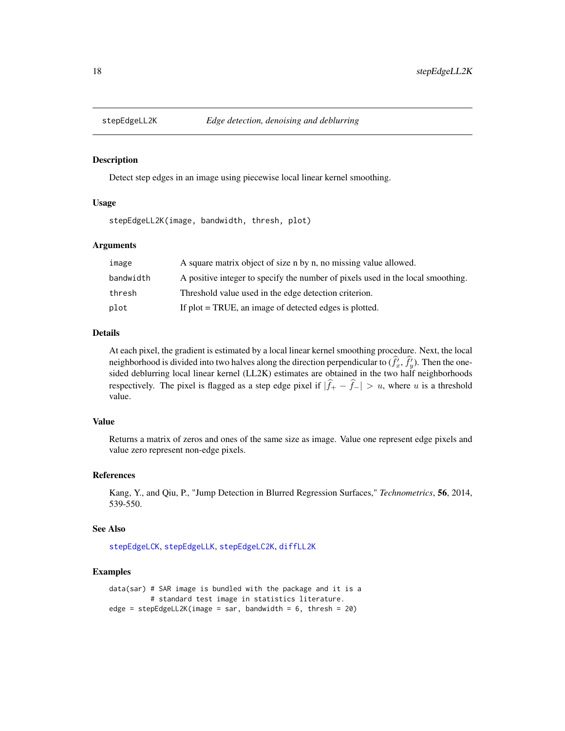<span id="page-17-1"></span><span id="page-17-0"></span>

Detect step edges in an image using piecewise local linear kernel smoothing.

# Usage

stepEdgeLL2K(image, bandwidth, thresh, plot)

#### Arguments

| image     | A square matrix object of size n by n, no missing value allowed.                |
|-----------|---------------------------------------------------------------------------------|
| bandwidth | A positive integer to specify the number of pixels used in the local smoothing. |
| thresh    | Threshold value used in the edge detection criterion.                           |
| plot      | If $plot = TRUE$ , an image of detected edges is plotted.                       |

#### Details

At each pixel, the gradient is estimated by a local linear kernel smoothing procedure. Next, the local neighborhood is divided into two halves along the direction perpendicular to  $(\hat{f}_x^i, \hat{f}_y^j)$ . Then the onesided deblurring local linear kernel (LL2K) estimates are obtained in the two half neighborhoods respectively. The pixel is flagged as a step edge pixel if  $|f_{+} - f_{-}| > u$ , where u is a threshold value.

# Value

Returns a matrix of zeros and ones of the same size as image. Value one represent edge pixels and value zero represent non-edge pixels.

#### References

Kang, Y., and Qiu, P., "Jump Detection in Blurred Regression Surfaces," *Technometrics*, 56, 2014, 539-550.

# See Also

[stepEdgeLCK](#page-16-1), [stepEdgeLLK](#page-18-1), [stepEdgeLC2K](#page-15-1), [diffLL2K](#page-4-1)

```
data(sar) # SAR image is bundled with the package and it is a
          # standard test image in statistics literature.
edge = stepEdgeLL2K(image = sar, bandwidth = 6, thresh = 20)
```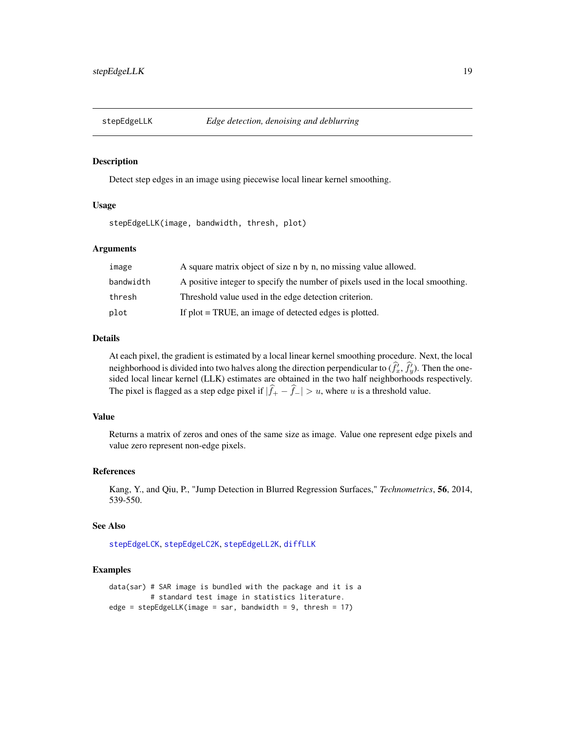<span id="page-18-1"></span><span id="page-18-0"></span>

Detect step edges in an image using piecewise local linear kernel smoothing.

#### Usage

stepEdgeLLK(image, bandwidth, thresh, plot)

# Arguments

| image     | A square matrix object of size n by n, no missing value allowed.                |
|-----------|---------------------------------------------------------------------------------|
| bandwidth | A positive integer to specify the number of pixels used in the local smoothing. |
| thresh    | Threshold value used in the edge detection criterion.                           |
| plot      | If plot = TRUE, an image of detected edges is plotted.                          |

#### Details

At each pixel, the gradient is estimated by a local linear kernel smoothing procedure. Next, the local neighborhood is divided into two halves along the direction perpendicular to  $(\hat{f}_x^i, \hat{f}_y^j)$ . Then the onesided local linear kernel (LLK) estimates are obtained in the two half neighborhoods respectively. The pixel is flagged as a step edge pixel if  $|\hat{f}_+ - \hat{f}_-| > u$ , where u is a threshold value.

# Value

Returns a matrix of zeros and ones of the same size as image. Value one represent edge pixels and value zero represent non-edge pixels.

# References

Kang, Y., and Qiu, P., "Jump Detection in Blurred Regression Surfaces," *Technometrics*, 56, 2014, 539-550.

#### See Also

[stepEdgeLCK](#page-16-1), [stepEdgeLC2K](#page-15-1), [stepEdgeLL2K](#page-17-1), [diffLLK](#page-5-1)

```
data(sar) # SAR image is bundled with the package and it is a
          # standard test image in statistics literature.
edge = stepEdgeLLK(image = sar, bandwidth = 9, thresh = 17)
```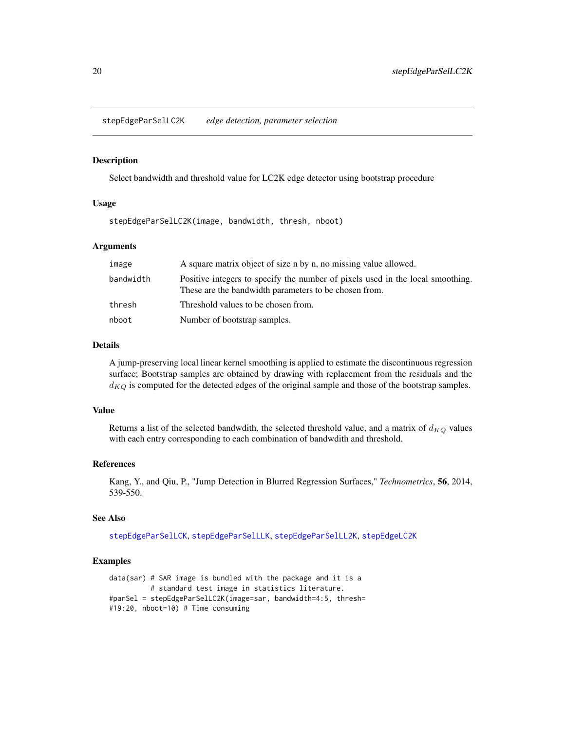<span id="page-19-1"></span><span id="page-19-0"></span>stepEdgeParSelLC2K *edge detection, parameter selection*

#### Description

Select bandwidth and threshold value for LC2K edge detector using bootstrap procedure

# Usage

stepEdgeParSelLC2K(image, bandwidth, thresh, nboot)

#### Arguments

| image     | A square matrix object of size n by n, no missing value allowed.                                                                        |
|-----------|-----------------------------------------------------------------------------------------------------------------------------------------|
| bandwidth | Positive integers to specify the number of pixels used in the local smoothing.<br>These are the bandwidth parameters to be chosen from. |
| thresh    | Threshold values to be chosen from.                                                                                                     |
| nboot     | Number of bootstrap samples.                                                                                                            |

#### Details

A jump-preserving local linear kernel smoothing is applied to estimate the discontinuous regression surface; Bootstrap samples are obtained by drawing with replacement from the residuals and the  $d_{KQ}$  is computed for the detected edges of the original sample and those of the bootstrap samples.

# Value

Returns a list of the selected bandwdith, the selected threshold value, and a matrix of  $d_{KQ}$  values with each entry corresponding to each combination of bandwdith and threshold.

#### References

Kang, Y., and Qiu, P., "Jump Detection in Blurred Regression Surfaces," *Technometrics*, 56, 2014, 539-550.

#### See Also

[stepEdgeParSelLCK](#page-20-1), [stepEdgeParSelLLK](#page-22-1), [stepEdgeParSelLL2K](#page-21-1), [stepEdgeLC2K](#page-15-1)

```
data(sar) # SAR image is bundled with the package and it is a
          # standard test image in statistics literature.
#parSel = stepEdgeParSelLC2K(image=sar, bandwidth=4:5, thresh=
#19:20, nboot=10) # Time consuming
```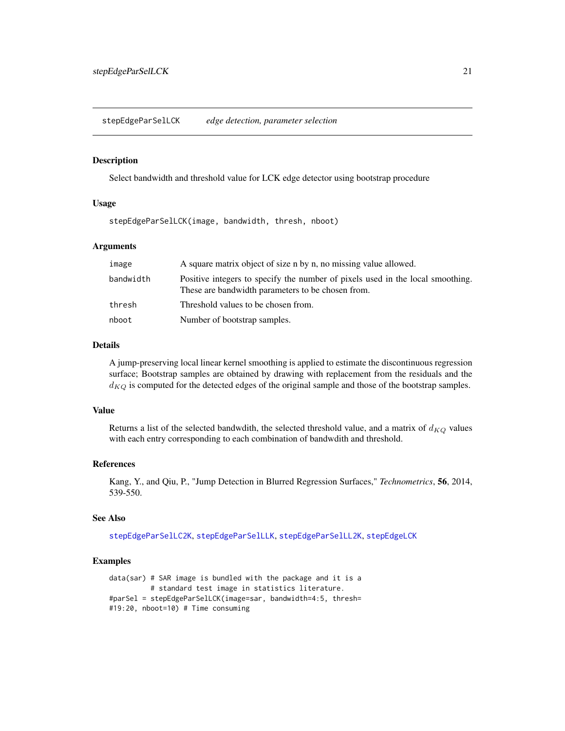<span id="page-20-1"></span><span id="page-20-0"></span>stepEdgeParSelLCK *edge detection, parameter selection*

#### Description

Select bandwidth and threshold value for LCK edge detector using bootstrap procedure

# Usage

stepEdgeParSelLCK(image, bandwidth, thresh, nboot)

# Arguments

| image     | A square matrix object of size n by n, no missing value allowed.                                                                    |
|-----------|-------------------------------------------------------------------------------------------------------------------------------------|
| bandwidth | Positive integers to specify the number of pixels used in the local smoothing.<br>These are bandwidth parameters to be chosen from. |
| thresh    | Threshold values to be chosen from.                                                                                                 |
| nboot     | Number of bootstrap samples.                                                                                                        |

#### Details

A jump-preserving local linear kernel smoothing is applied to estimate the discontinuous regression surface; Bootstrap samples are obtained by drawing with replacement from the residuals and the  $d_{KQ}$  is computed for the detected edges of the original sample and those of the bootstrap samples.

# Value

Returns a list of the selected bandwdith, the selected threshold value, and a matrix of  $d_{KQ}$  values with each entry corresponding to each combination of bandwdith and threshold.

#### References

Kang, Y., and Qiu, P., "Jump Detection in Blurred Regression Surfaces," *Technometrics*, 56, 2014, 539-550.

#### See Also

[stepEdgeParSelLC2K](#page-19-1), [stepEdgeParSelLLK](#page-22-1), [stepEdgeParSelLL2K](#page-21-1), [stepEdgeLCK](#page-16-1)

```
data(sar) # SAR image is bundled with the package and it is a
          # standard test image in statistics literature.
#parSel = stepEdgeParSelLCK(image=sar, bandwidth=4:5, thresh=
#19:20, nboot=10) # Time consuming
```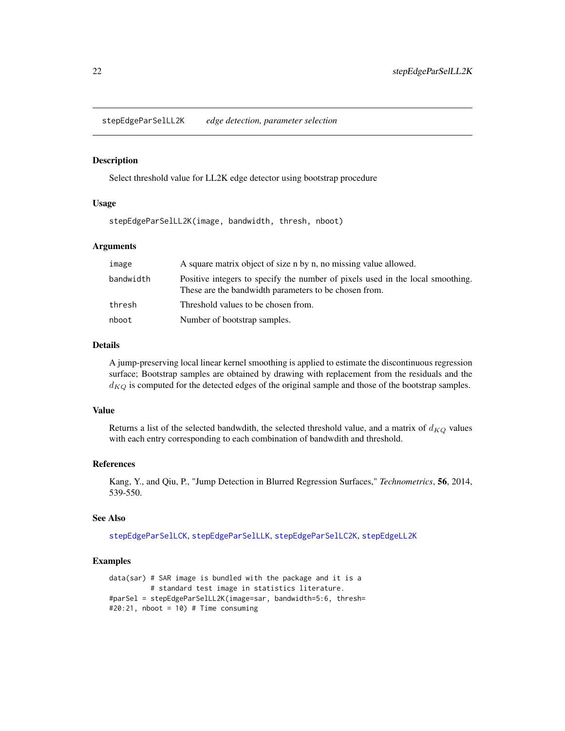<span id="page-21-1"></span><span id="page-21-0"></span>stepEdgeParSelLL2K *edge detection, parameter selection*

#### Description

Select threshold value for LL2K edge detector using bootstrap procedure

# Usage

stepEdgeParSelLL2K(image, bandwidth, thresh, nboot)

#### Arguments

| image     | A square matrix object of size n by n, no missing value allowed.                                                                        |
|-----------|-----------------------------------------------------------------------------------------------------------------------------------------|
| bandwidth | Positive integers to specify the number of pixels used in the local smoothing.<br>These are the bandwidth parameters to be chosen from. |
| thresh    | Threshold values to be chosen from.                                                                                                     |
| nboot     | Number of bootstrap samples.                                                                                                            |

#### Details

A jump-preserving local linear kernel smoothing is applied to estimate the discontinuous regression surface; Bootstrap samples are obtained by drawing with replacement from the residuals and the  $d_{KQ}$  is computed for the detected edges of the original sample and those of the bootstrap samples.

# Value

Returns a list of the selected bandwdith, the selected threshold value, and a matrix of  $d_{KQ}$  values with each entry corresponding to each combination of bandwdith and threshold.

#### References

Kang, Y., and Qiu, P., "Jump Detection in Blurred Regression Surfaces," *Technometrics*, 56, 2014, 539-550.

#### See Also

[stepEdgeParSelLCK](#page-20-1), [stepEdgeParSelLLK](#page-22-1), [stepEdgeParSelLC2K](#page-19-1), [stepEdgeLL2K](#page-17-1)

```
data(sar) # SAR image is bundled with the package and it is a
          # standard test image in statistics literature.
#parSel = stepEdgeParSelLL2K(image=sar, bandwidth=5:6, thresh=
#20:21, nboot = 10) # Time consuming
```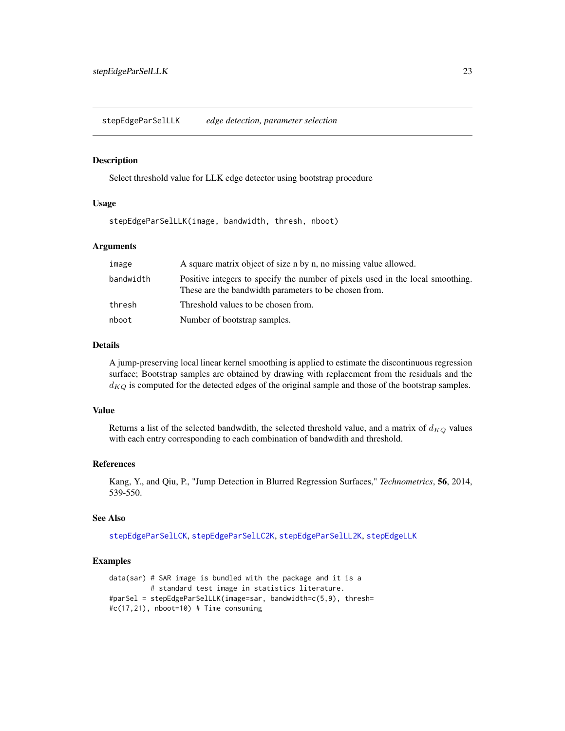<span id="page-22-1"></span><span id="page-22-0"></span>stepEdgeParSelLLK *edge detection, parameter selection*

#### Description

Select threshold value for LLK edge detector using bootstrap procedure

# Usage

stepEdgeParSelLLK(image, bandwidth, thresh, nboot)

# Arguments

| image     | A square matrix object of size n by n, no missing value allowed.                                                                        |
|-----------|-----------------------------------------------------------------------------------------------------------------------------------------|
| bandwidth | Positive integers to specify the number of pixels used in the local smoothing.<br>These are the bandwidth parameters to be chosen from. |
| thresh    | Threshold values to be chosen from.                                                                                                     |
| nboot     | Number of bootstrap samples.                                                                                                            |

#### Details

A jump-preserving local linear kernel smoothing is applied to estimate the discontinuous regression surface; Bootstrap samples are obtained by drawing with replacement from the residuals and the  $d_{KQ}$  is computed for the detected edges of the original sample and those of the bootstrap samples.

# Value

Returns a list of the selected bandwdith, the selected threshold value, and a matrix of  $d_{KQ}$  values with each entry corresponding to each combination of bandwdith and threshold.

#### References

Kang, Y., and Qiu, P., "Jump Detection in Blurred Regression Surfaces," *Technometrics*, 56, 2014, 539-550.

#### See Also

[stepEdgeParSelLCK](#page-20-1), [stepEdgeParSelLC2K](#page-19-1), [stepEdgeParSelLL2K](#page-21-1), [stepEdgeLLK](#page-18-1)

```
data(sar) # SAR image is bundled with the package and it is a
          # standard test image in statistics literature.
#parSel = stepEdgeParSelLLK(image=sar, bandwidth=c(5,9), thresh=
#c(17,21), nboot=10) # Time consuming
```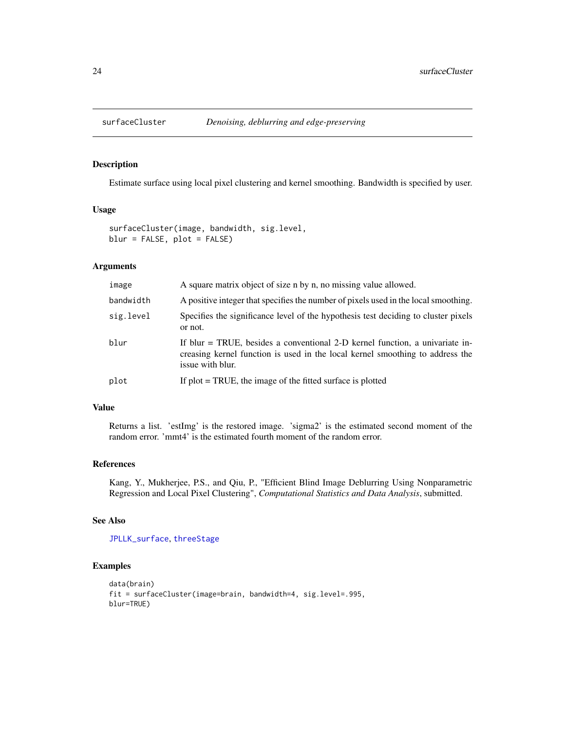<span id="page-23-1"></span><span id="page-23-0"></span>

Estimate surface using local pixel clustering and kernel smoothing. Bandwidth is specified by user.

#### Usage

```
surfaceCluster(image, bandwidth, sig.level,
blur = FALSE, plot = FALSE)
```
# Arguments

| image     | A square matrix object of size n by n, no missing value allowed.                                                                                                                    |
|-----------|-------------------------------------------------------------------------------------------------------------------------------------------------------------------------------------|
| bandwidth | A positive integer that specifies the number of pixels used in the local smoothing.                                                                                                 |
| sig.level | Specifies the significance level of the hypothesis test deciding to cluster pixels<br>or not.                                                                                       |
| blur      | If blur $=$ TRUE, besides a conventional 2-D kernel function, a univariate in-<br>creasing kernel function is used in the local kernel smoothing to address the<br>issue with blur. |
| plot      | If $plot = TRUE$ , the image of the fitted surface is plotted                                                                                                                       |

#### Value

Returns a list. 'estImg' is the restored image. 'sigma2' is the estimated second moment of the random error. 'mmt4' is the estimated fourth moment of the random error.

# References

Kang, Y., Mukherjee, P.S., and Qiu, P., "Efficient Blind Image Deblurring Using Nonparametric Regression and Local Pixel Clustering", *Computational Statistics and Data Analysis*, submitted.

#### See Also

[JPLLK\\_surface](#page-7-1), [threeStage](#page-24-1)

```
data(brain)
fit = surfaceCluster(image=brain, bandwidth=4, sig.level=.995,
blur=TRUE)
```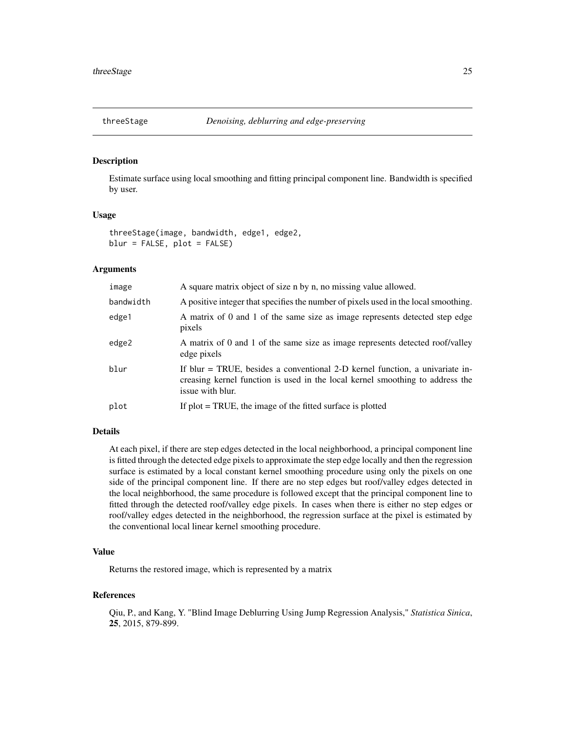<span id="page-24-1"></span><span id="page-24-0"></span>

Estimate surface using local smoothing and fitting principal component line. Bandwidth is specified by user.

#### Usage

```
threeStage(image, bandwidth, edge1, edge2,
blur = FALSE, plot = FALSE)
```
# Arguments

| image     | A square matrix object of size n by n, no missing value allowed.                                                                                                                    |
|-----------|-------------------------------------------------------------------------------------------------------------------------------------------------------------------------------------|
| bandwidth | A positive integer that specifies the number of pixels used in the local smoothing.                                                                                                 |
| edge1     | A matrix of 0 and 1 of the same size as image represents detected step edge<br>pixels                                                                                               |
| edge2     | A matrix of 0 and 1 of the same size as image represents detected roof/valley<br>edge pixels                                                                                        |
| blur      | If blur $=$ TRUE, besides a conventional 2-D kernel function, a univariate in-<br>creasing kernel function is used in the local kernel smoothing to address the<br>issue with blur. |
| plot      | If $plot = TRUE$ , the image of the fitted surface is plotted                                                                                                                       |
|           |                                                                                                                                                                                     |

# Details

At each pixel, if there are step edges detected in the local neighborhood, a principal component line is fitted through the detected edge pixels to approximate the step edge locally and then the regression surface is estimated by a local constant kernel smoothing procedure using only the pixels on one side of the principal component line. If there are no step edges but roof/valley edges detected in the local neighborhood, the same procedure is followed except that the principal component line to fitted through the detected roof/valley edge pixels. In cases when there is either no step edges or roof/valley edges detected in the neighborhood, the regression surface at the pixel is estimated by the conventional local linear kernel smoothing procedure.

#### Value

Returns the restored image, which is represented by a matrix

# References

Qiu, P., and Kang, Y. "Blind Image Deblurring Using Jump Regression Analysis," *Statistica Sinica*, 25, 2015, 879-899.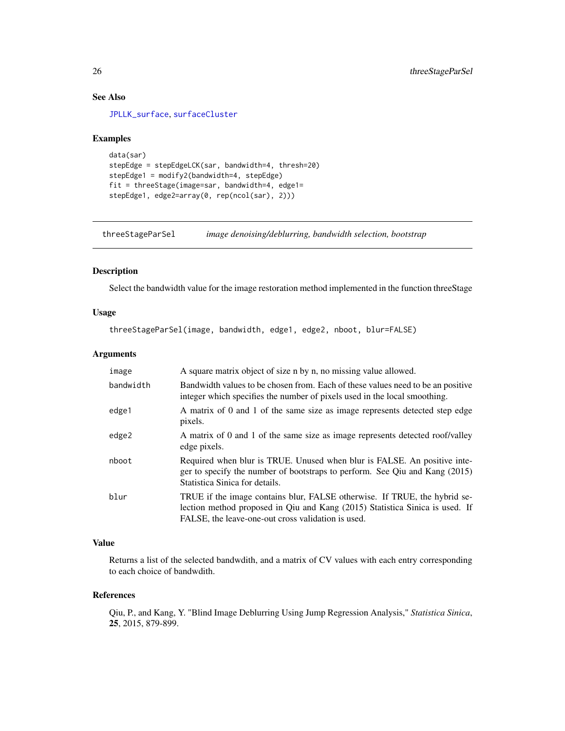# See Also

[JPLLK\\_surface](#page-7-1), [surfaceCluster](#page-23-1)

#### Examples

```
data(sar)
stepEdge = stepEdgeLCK(sar, bandwidth=4, thresh=20)
stepEdge1 = modify2(bandwidth=4, stepEdge)
fit = threeStage(image=sar, bandwidth=4, edge1=
stepEdge1, edge2=array(0, rep(ncol(sar), 2)))
```
threeStageParSel *image denoising/deblurring, bandwidth selection, bootstrap*

# Description

Select the bandwidth value for the image restoration method implemented in the function threeStage

#### Usage

threeStageParSel(image, bandwidth, edge1, edge2, nboot, blur=FALSE)

#### Arguments

| image     | A square matrix object of size n by n, no missing value allowed.                                                                                                                                                |
|-----------|-----------------------------------------------------------------------------------------------------------------------------------------------------------------------------------------------------------------|
| bandwidth | Bandwidth values to be chosen from. Each of these values need to be an positive<br>integer which specifies the number of pixels used in the local smoothing.                                                    |
| edge1     | A matrix of 0 and 1 of the same size as image represents detected step edge<br>pixels.                                                                                                                          |
| edge2     | A matrix of 0 and 1 of the same size as image represents detected roof/valley<br>edge pixels.                                                                                                                   |
| nboot     | Required when blur is TRUE. Unused when blur is FALSE. An positive inte-<br>ger to specify the number of bootstraps to perform. See Qiu and Kang (2015)<br>Statistica Sinica for details.                       |
| blur      | TRUE if the image contains blur, FALSE otherwise. If TRUE, the hybrid se-<br>lection method proposed in Qiu and Kang (2015) Statistica Sinica is used. If<br>FALSE, the leave-one-out cross validation is used. |

# Value

Returns a list of the selected bandwdith, and a matrix of CV values with each entry corresponding to each choice of bandwdith.

# References

Qiu, P., and Kang, Y. "Blind Image Deblurring Using Jump Regression Analysis," *Statistica Sinica*, 25, 2015, 879-899.

<span id="page-25-0"></span>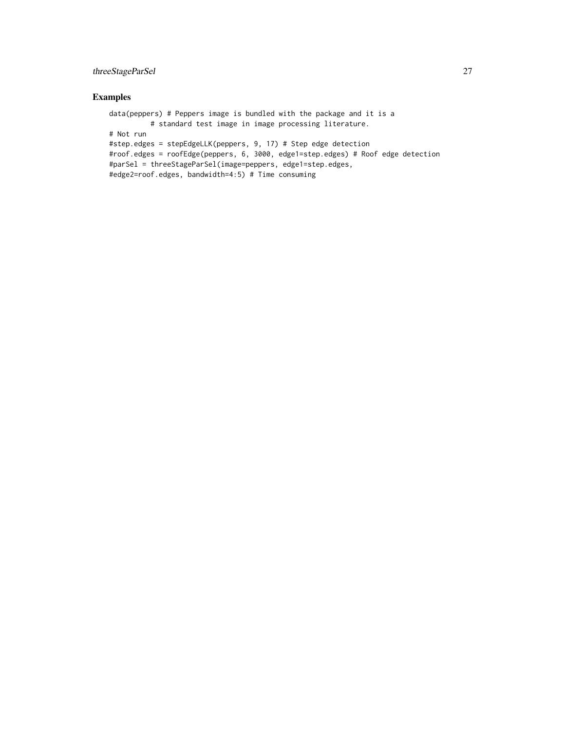# threeStageParSel 27

```
data(peppers) # Peppers image is bundled with the package and it is a
         # standard test image in image processing literature.
# Not run
#step.edges = stepEdgeLLK(peppers, 9, 17) # Step edge detection
#roof.edges = roofEdge(peppers, 6, 3000, edge1=step.edges) # Roof edge detection
#parSel = threeStageParSel(image=peppers, edge1=step.edges,
#edge2=roof.edges, bandwidth=4:5) # Time consuming
```